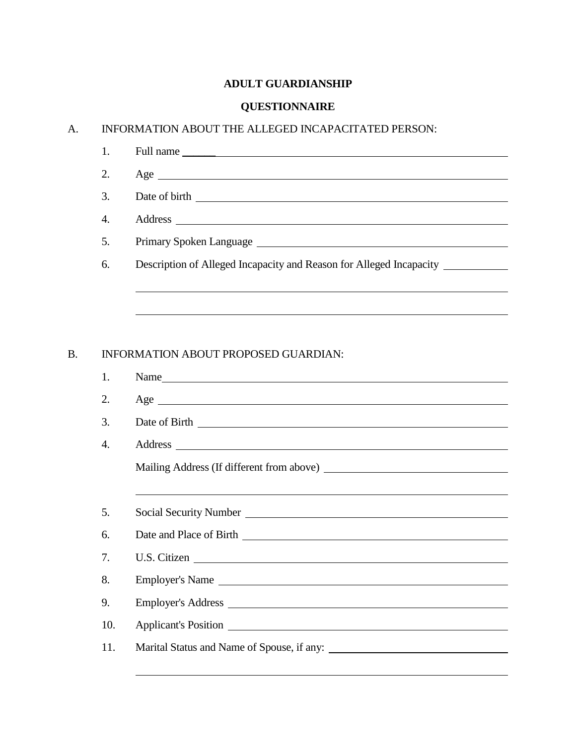## **ADULT GUARDIANSHIP**

## **QUESTIONNAIRE**

## A. INFORMATION ABOUT THE ALLEGED INCAPACITATED PERSON:

| 2. | $Age \_$                                                            |
|----|---------------------------------------------------------------------|
| 3. | Date of birth                                                       |
| 4. |                                                                     |
| 5. | Primary Spoken Language                                             |
| 6. | Description of Alleged Incapacity and Reason for Alleged Incapacity |
|    |                                                                     |

## B. INFORMATION ABOUT PROPOSED GUARDIAN:

| 1.  | Name            |
|-----|-----------------|
| 2.  |                 |
| 3.  |                 |
| 4.  |                 |
|     |                 |
|     |                 |
| 5.  |                 |
| 6.  |                 |
| 7.  | U.S. Citizen    |
| 8.  | Employer's Name |
| 9.  |                 |
| 10. |                 |
| 11. |                 |
|     |                 |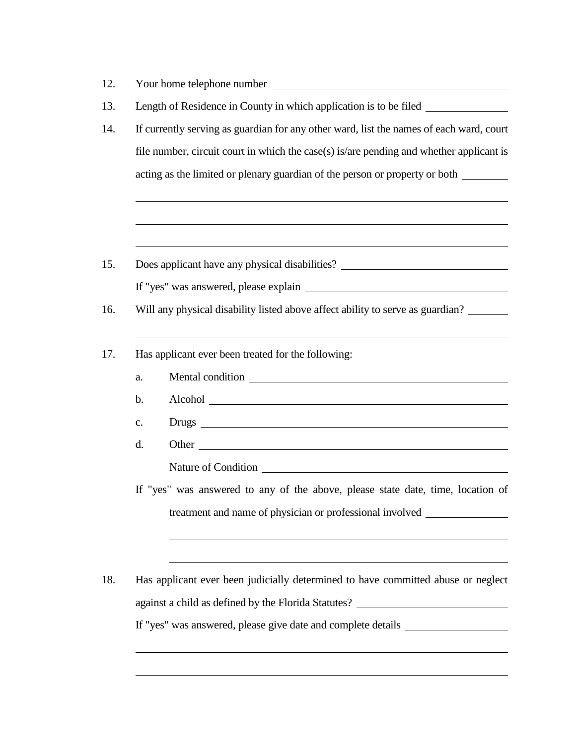| 12. | Your home telephone number <b>example 200</b> and 200 and 200 and 200 and 200 and 200 and 200 and 200 and 200 and 200 and 200 and 200 and 200 and 200 and 200 and 200 and 200 and 200 and 200 and 200 and 200 and 200 and 200 and 2  |
|-----|--------------------------------------------------------------------------------------------------------------------------------------------------------------------------------------------------------------------------------------|
| 13. | Length of Residence in County in which application is to be filed ______________                                                                                                                                                     |
| 14. | If currently serving as guardian for any other ward, list the names of each ward, court                                                                                                                                              |
|     | file number, circuit court in which the case(s) is/are pending and whether applicant is                                                                                                                                              |
|     | acting as the limited or plenary guardian of the person or property or both                                                                                                                                                          |
|     |                                                                                                                                                                                                                                      |
| 15. | Does applicant have any physical disabilities? __________________________________                                                                                                                                                    |
|     |                                                                                                                                                                                                                                      |
| 16. | Will any physical disability listed above affect ability to serve as guardian?                                                                                                                                                       |
| 17. | Has applicant ever been treated for the following:                                                                                                                                                                                   |
|     | a.                                                                                                                                                                                                                                   |
|     | b.                                                                                                                                                                                                                                   |
|     | $\mathbf{c}$ .                                                                                                                                                                                                                       |
|     | d.<br>Other that the contract of the contract of the contract of the contract of the contract of the contract of the contract of the contract of the contract of the contract of the contract of the contract of the contract of the |
|     | Nature of Condition League and Secretary and Secretary and Secretary and Secretary and Secretary and Secretary and Secretary and Secretary and Secretary and Secretary and Secretary and Secretary and Secretary and Secretary       |
|     | If "yes" was answered to any of the above, please state date, time, location of                                                                                                                                                      |
|     | treatment and name of physician or professional involved                                                                                                                                                                             |
|     |                                                                                                                                                                                                                                      |
| 18. | Has applicant ever been judicially determined to have committed abuse or neglect                                                                                                                                                     |
|     | against a child as defined by the Florida Statutes? _____________________________                                                                                                                                                    |
|     | If "yes" was answered, please give date and complete details ___________________                                                                                                                                                     |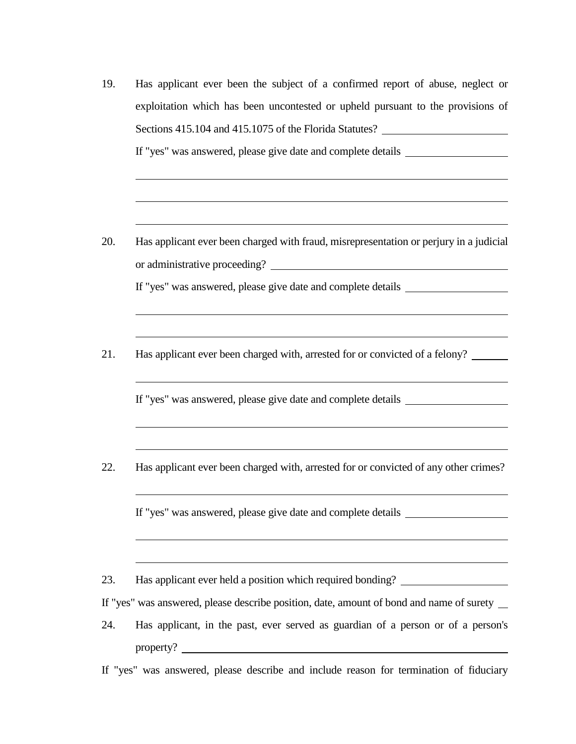- 19. Has applicant ever been the subject of a confirmed report of abuse, neglect or exploitation which has been uncontested or upheld pursuant to the provisions of Sections 415.104 and 415.1075 of the Florida Statutes? If "yes" was answered, please give date and complete details
- 20. Has applicant ever been charged with fraud, misrepresentation or perjury in a judicial or administrative proceeding? If "yes" was answered, please give date and complete details
- 21. Has applicant ever been charged with, arrested for or convicted of a felony?

If "yes" was answered, please give date and complete details

22. Has applicant ever been charged with, arrested for or convicted of any other crimes?

If "yes" was answered, please give date and complete details

23. Has applicant ever held a position which required bonding?

If "yes" was answered, please describe position, date, amount of bond and name of surety

24. Has applicant, in the past, ever served as guardian of a person or of a person's property?

If "yes" was answered, please describe and include reason for termination of fiduciary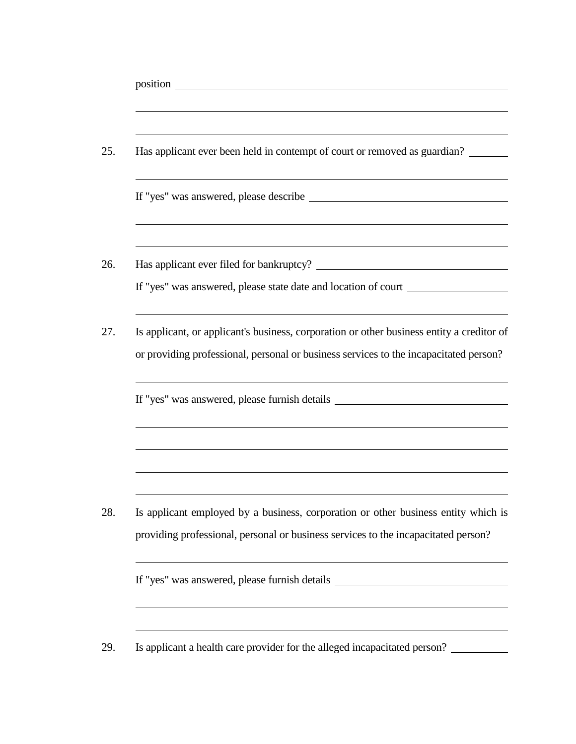| 25. | Has applicant ever been held in contempt of court or removed as guardian?                                                                                                          |
|-----|------------------------------------------------------------------------------------------------------------------------------------------------------------------------------------|
|     |                                                                                                                                                                                    |
| 26. | If "yes" was answered, please state date and location of court _________________                                                                                                   |
| 27. | Is applicant, or applicant's business, corporation or other business entity a creditor of<br>or providing professional, personal or business services to the incapacitated person? |
|     | If "yes" was answered, please furnish details __________________________________                                                                                                   |
|     |                                                                                                                                                                                    |
| 28. | Is applicant employed by a business, corporation or other business entity which is<br>providing professional, personal or business services to the incapacitated person?           |
|     | If "yes" was answered, please furnish details __________________________________                                                                                                   |
| 29. | Is applicant a health care provider for the alleged incapacitated person?                                                                                                          |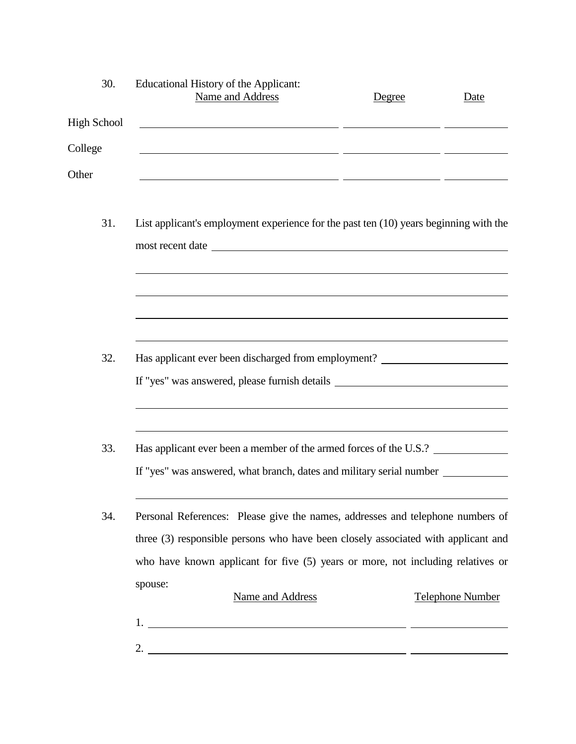| 30.                | Educational History of the Applicant:<br>Name and Address                                                                                                                                                                                                                                                              | Degree | Date                    |
|--------------------|------------------------------------------------------------------------------------------------------------------------------------------------------------------------------------------------------------------------------------------------------------------------------------------------------------------------|--------|-------------------------|
| <b>High School</b> |                                                                                                                                                                                                                                                                                                                        |        |                         |
| College            | <u> 1989 - Jan Barnett, fransk politik (d. 1989)</u>                                                                                                                                                                                                                                                                   |        |                         |
| Other              | <u> 2000 - Jan James James Sandarík (f. 1982)</u>                                                                                                                                                                                                                                                                      |        |                         |
| 31.                | List applicant's employment experience for the past ten (10) years beginning with the<br>most recent date                                                                                                                                                                                                              |        |                         |
|                    |                                                                                                                                                                                                                                                                                                                        |        |                         |
| 32.                | Has applicant ever been discharged from employment? ____________________________<br>If "yes" was answered, please furnish details __________________________________                                                                                                                                                   |        |                         |
| 33.                | Has applicant ever been a member of the armed forces of the U.S.?<br>If "yes" was answered, what branch, dates and military serial number ___________                                                                                                                                                                  |        |                         |
| 34.                | Personal References: Please give the names, addresses and telephone numbers of<br>three (3) responsible persons who have been closely associated with applicant and<br>who have known applicant for five (5) years or more, not including relatives or                                                                 |        |                         |
|                    | spouse:<br>Name and Address                                                                                                                                                                                                                                                                                            |        | <b>Telephone Number</b> |
|                    | 2. $\frac{1}{2}$ $\frac{1}{2}$ $\frac{1}{2}$ $\frac{1}{2}$ $\frac{1}{2}$ $\frac{1}{2}$ $\frac{1}{2}$ $\frac{1}{2}$ $\frac{1}{2}$ $\frac{1}{2}$ $\frac{1}{2}$ $\frac{1}{2}$ $\frac{1}{2}$ $\frac{1}{2}$ $\frac{1}{2}$ $\frac{1}{2}$ $\frac{1}{2}$ $\frac{1}{2}$ $\frac{1}{2}$ $\frac{1}{2}$ $\frac{1}{2}$ $\frac{1}{2}$ |        |                         |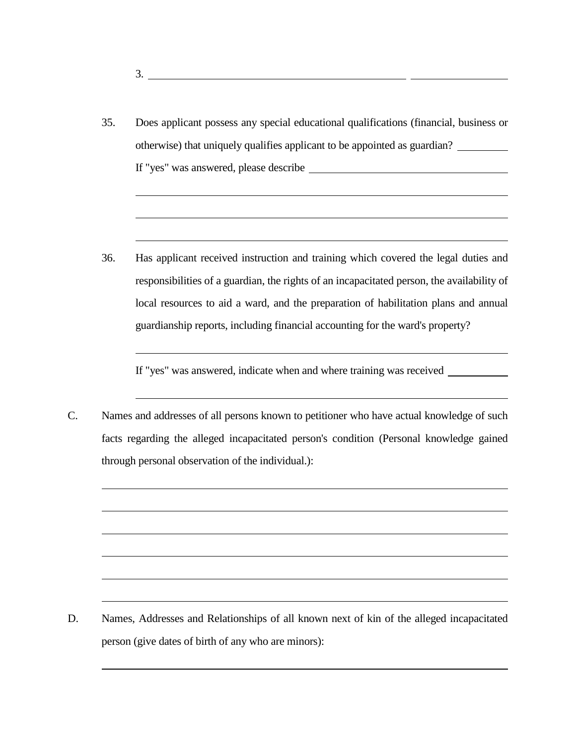35. Does applicant possess any special educational qualifications (financial, business or otherwise) that uniquely qualifies applicant to be appointed as guardian? If "yes" was answered, please describe

3.

36. Has applicant received instruction and training which covered the legal duties and responsibilities of a guardian, the rights of an incapacitated person, the availability of local resources to aid a ward, and the preparation of habilitation plans and annual guardianship reports, including financial accounting for the ward's property?

If "yes" was answered, indicate when and where training was received

C. Names and addresses of all persons known to petitioner who have actual knowledge of such facts regarding the alleged incapacitated person's condition (Personal knowledge gained through personal observation of the individual.):

D. Names, Addresses and Relationships of all known next of kin of the alleged incapacitated person (give dates of birth of any who are minors):